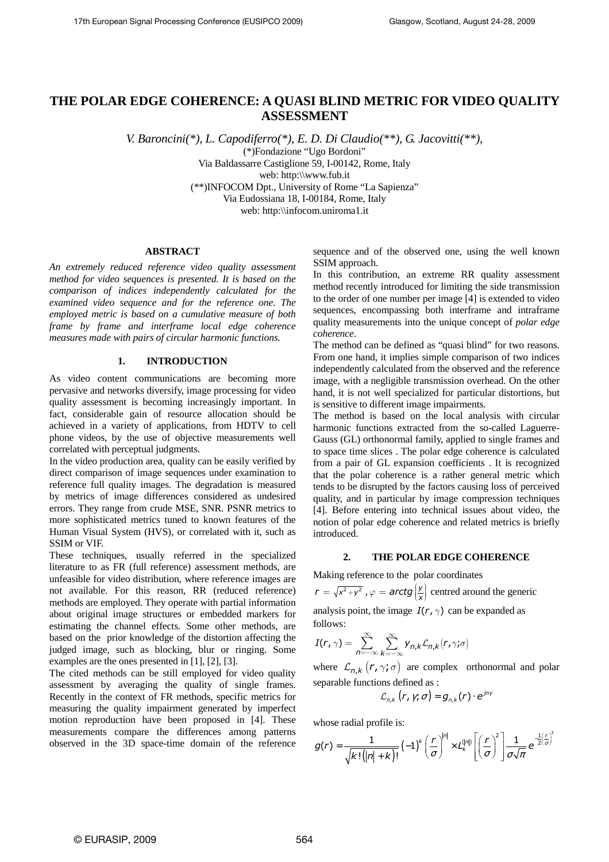# **THE POLAR EDGE COHERENCE: A QUASI BLIND METRIC FOR VIDEO QUALITY ASSESSMENT**

*V. Baroncini(\*), L. Capodiferro(\*), E. D. Di Claudio(\*\*), G. Jacovitti(\*\*),* 

(\*)Fondazione "Ugo Bordoni" Via Baldassarre Castiglione 59, I-00142, Rome, Italy web: http:\\www.fub.it (\*\*)INFOCOM Dpt., University of Rome "La Sapienza" Via Eudossiana 18, I-00184, Rome, Italy web: http:\\infocom.uniroma1.it

# **ABSTRACT**

*An extremely reduced reference video quality assessment method for video sequences is presented. It is based on the comparison of indices independently calculated for the examined video sequence and for the reference one. The employed metric is based on a cumulative measure of both frame by frame and interframe local edge coherence measures made with pairs of circular harmonic functions.* 

#### **1. INTRODUCTION**

As video content communications are becoming more pervasive and networks diversify, image processing for video quality assessment is becoming increasingly important. In fact, considerable gain of resource allocation should be achieved in a variety of applications, from HDTV to cell phone videos, by the use of objective measurements well correlated with perceptual judgments.

In the video production area, quality can be easily verified by direct comparison of image sequences under examination to reference full quality images. The degradation is measured by metrics of image differences considered as undesired errors. They range from crude MSE, SNR. PSNR metrics to more sophisticated metrics tuned to known features of the Human Visual System (HVS), or correlated with it, such as SSIM or VIF.

These techniques, usually referred in the specialized literature to as FR (full reference) assessment methods, are unfeasible for video distribution, where reference images are not available. For this reason, RR (reduced reference) methods are employed. They operate with partial information about original image structures or embedded markers for estimating the channel effects. Some other methods, are based on the prior knowledge of the distortion affecting the judged image, such as blocking, blur or ringing. Some examples are the ones presented in [1], [2], [3].

The cited methods can be still employed for video quality assessment by averaging the quality of single frames. Recently in the context of FR methods, specific metrics for measuring the quality impairment generated by imperfect motion reproduction have been proposed in [4]. These measurements compare the differences among patterns observed in the 3D space-time domain of the reference sequence and of the observed one, using the well known SSIM approach.

In this contribution, an extreme RR quality assessment method recently introduced for limiting the side transmission to the order of one number per image [4] is extended to video sequences, encompassing both interframe and intraframe quality measurements into the unique concept of *polar edge coherence*.

The method can be defined as "quasi blind" for two reasons. From one hand, it implies simple comparison of two indices independently calculated from the observed and the reference image, with a negligible transmission overhead. On the other hand, it is not well specialized for particular distortions, but is sensitive to different image impairments.

The method is based on the local analysis with circular harmonic functions extracted from the so-called Laguerre-Gauss (GL) orthonormal family, applied to single frames and to space time slices . The polar edge coherence is calculated from a pair of GL expansion coefficients . It is recognized that the polar coherence is a rather general metric which tends to be disrupted by the factors causing loss of perceived quality, and in particular by image compression techniques [4]. Before entering into technical issues about video, the notion of polar edge coherence and related metrics is briefly introduced.

#### **2. THE POLAR EDGE COHERENCE**

Making reference to the polar coordinates

 $r = \sqrt{x^2 + y^2}$  ,  $\varphi = \text{arctg}\left(\frac{y}{y}\right)$  $\varphi = \textit{arctg}\left(\frac{y}{x}\right)$  centred around the generic analysis point, the image  $I(r, \gamma)$  can be expanded as follows:

$$
I(r,\gamma)=\sum_{n=-\infty}^{\infty}\sum_{k=-\infty}^{\infty}Y_{n,k}\mathcal{L}_{n,k}(r,\gamma;\sigma)
$$

where  $\mathcal{L}_{n,k}$  ( $r, \gamma, \sigma$ ) are complex orthonormal and polar separable functions defined as :

$$
\mathcal{L}_{n,k}\left(r,\gamma;\sigma\right)=g_{n,k}(r)\cdot e^{jn\gamma}
$$

whose radial profile is:

$$
g(r) = \frac{1}{\sqrt{k! (|n| + k)!}} (-1)^k \left(\frac{r}{\sigma}\right)^{|n|} \times L_k^{(|n|)} \left[\left(\frac{r}{\sigma}\right)^2\right] \frac{1}{\sigma \sqrt{\pi}} e^{-\frac{1}{2} \left(\frac{r}{\sigma}\right)^2}
$$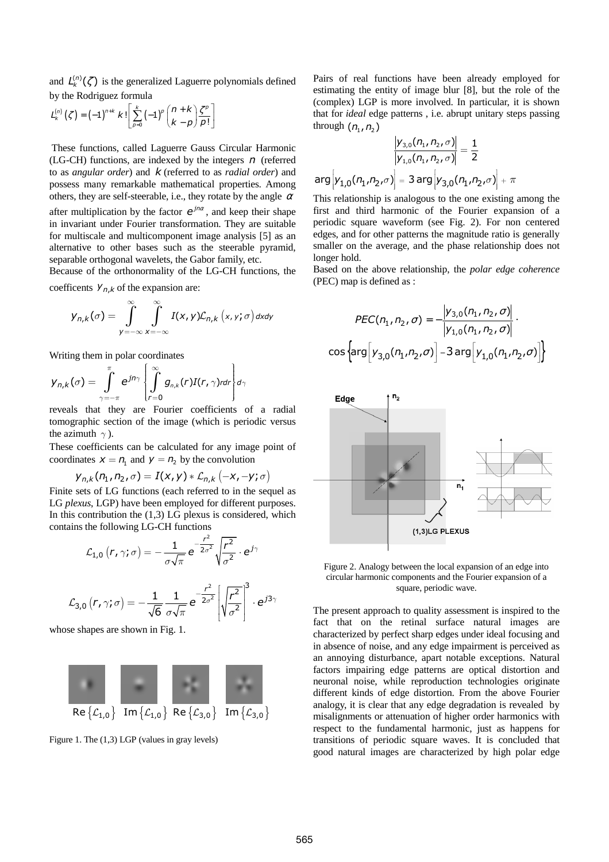and  $L_k^{(n)}(\zeta)$  is the generalized Laguerre polynomials defined by the Rodriguez formula

$$
L_k^{(n)}\left(\zeta\right) = \left(-1\right)^{n+k} k! \left[\sum_{p=0}^k \left(-1\right)^p \binom{n+k}{k-p} \frac{\zeta^p}{p!}\right]
$$

 These functions, called Laguerre Gauss Circular Harmonic (LG-CH) functions, are indexed by the integers *n* (referred to as *angular order*) and *k* (referred to as *radial order*) and possess many remarkable mathematical properties. Among others, they are self-steerable, i.e., they rotate by the angle  $\alpha$ after multiplication by the factor  $e^{jn\alpha}$ , and keep their shape in invariant under Fourier transformation. They are suitable for multiscale and multicomponent image analysis [5] as an alternative to other bases such as the steerable pyramid, separable orthogonal wavelets, the Gabor family, etc.

Because of the orthonormality of the LG-CH functions, the coefficents  $Y_{n,k}$  of the expansion are:

$$
y_{n,k}(\sigma) = \int_{y=-\infty}^{\infty} \int_{x=-\infty}^{\infty} I(x,y) \mathcal{L}_{n,k}(x,y;\sigma) dxdy
$$

Writing them in polar coordinates

$$
y_{n,k}(\sigma) = \int_{\gamma=-\pi}^{\pi} e^{jn\gamma} \left\{ \int_{r=0}^{\infty} g_{n,k}(r) I(r,\gamma) r dr \right\} d\gamma
$$

reveals that they are Fourier coefficients of a radial tomographic section of the image (which is periodic versus the azimuth *γ*).

These coefficients can be calculated for any image point of coordinates  $x = n_1$  and  $y = n_2$  by the convolution

$$
y_{n,k}(n_1, n_2, \sigma) = I(x,y) * \mathcal{L}_{n,k}(-x, -y; \sigma)
$$

Finite sets of LG functions (each referred to in the sequel as LG *plexus*, LGP) have been employed for different purposes. In this contribution the  $(1,3)$  LG plexus is considered, which contains the following LG-CH functions

$$
\mathcal{L}_{1,0}\left(r,\gamma;\sigma\right)=-\frac{1}{\sigma\sqrt{\pi}}e^{-\frac{r^2}{2\sigma^2}}\sqrt{\frac{r^2}{\sigma^2}}\cdot e^{j\gamma}
$$

$$
\mathcal{L}_{3,0}\left(r,\gamma;\sigma\right)=-\frac{1}{\sqrt{6}}\frac{1}{\sigma\sqrt{\pi}}e^{-\frac{r^2}{2\sigma^2}}\left[\sqrt{\frac{r^2}{\sigma^2}}\right]^3\cdot e^{j3\gamma}
$$

whose shapes are shown in Fig. 1.



Figure 1. The (1,3) LGP (values in gray levels)

Pairs of real functions have been already employed for estimating the entity of image blur [8], but the role of the (complex) LGP is more involved. In particular, it is shown that for *ideal* edge patterns , i.e. abrupt unitary steps passing through  $(n_1, n_2)$ 

$$
\frac{|y_{3,0}(n_1, n_2, \sigma)|}{|y_{1,0}(n_1, n_2, \sigma)|} = \frac{1}{2}
$$
  
arg  $|y_{1,0}(n_1, n_2, \sigma)| = 3$  arg  $|y_{3,0}(n_1, n_2, \sigma)| + \pi$ 

This relationship is analogous to the one existing among the first and third harmonic of the Fourier expansion of a periodic square waveform (see Fig. 2). For non centered edges, and for other patterns the magnitude ratio is generally smaller on the average, and the phase relationship does not longer hold.

Based on the above relationship, the *polar edge coherence* (PEC) map is defined as :

$$
PEC(n_1, n_2, \sigma) = -\frac{|y_{3,0}(n_1, n_2, \sigma)|}{|y_{1,0}(n_1, n_2, \sigma)|}.
$$

$$
cos\left\{arg[y_{3,0}(n_1, n_2, \sigma)] - 3arg[y_{1,0}(n_1, n_2, \sigma)]\right\}
$$



Figure 2. Analogy between the local expansion of an edge into circular harmonic components and the Fourier expansion of a square, periodic wave.

The present approach to quality assessment is inspired to the fact that on the retinal surface natural images are characterized by perfect sharp edges under ideal focusing and in absence of noise, and any edge impairment is perceived as an annoying disturbance, apart notable exceptions. Natural factors impairing edge patterns are optical distortion and neuronal noise, while reproduction technologies originate different kinds of edge distortion. From the above Fourier analogy, it is clear that any edge degradation is revealed by misalignments or attenuation of higher order harmonics with respect to the fundamental harmonic, just as happens for transitions of periodic square waves. It is concluded that good natural images are characterized by high polar edge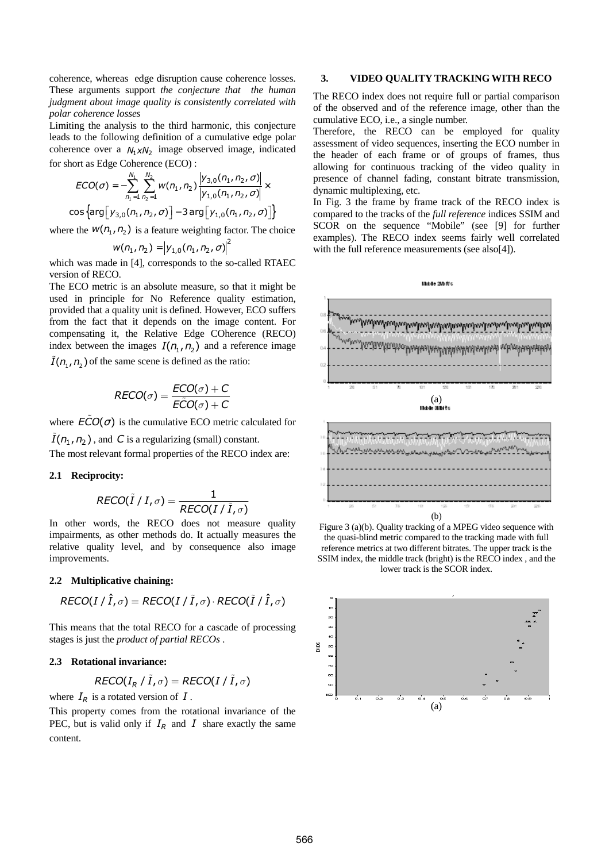coherence, whereas edge disruption cause coherence losses. These arguments support *the conjecture that the human judgment about image quality is consistently correlated with polar coherence losses* 

Limiting the analysis to the third harmonic, this conjecture leads to the following definition of a cumulative edge polar coherence over a  $N_1 \times N_2$  image observed image, indicated for short as Edge Coherence (ECO) :

$$
ECO(\sigma) = -\sum_{n_1=1}^{N_1} \sum_{n_2=1}^{N_2} w(n_1, n_2) \frac{|y_{3,0}(n_1, n_2, \sigma)|}{|y_{1,0}(n_1, n_2, \sigma)|} \times \cos\left\{\arg\left[y_{3,0}(n_1, n_2, \sigma)\right] - 3\arg\left[y_{1,0}(n_1, n_2, \sigma)\right]\right\}
$$

where the  $W(n_1, n_2)$  is a feature weighting factor. The choice

$$
w(n_1, n_2) = |y_{1,0}(n_1, n_2, \sigma)|^2
$$

which was made in [4], corresponds to the so-called RTAEC version of RECO.

The ECO metric is an absolute measure, so that it might be used in principle for No Reference quality estimation, provided that a quality unit is defined. However, ECO suffers from the fact that it depends on the image content. For compensating it, the Relative Edge COherence (RECO) index between the images  $I(n_1, n_2)$  and a reference image  $I(n_1, n_2)$  of the same scene is defined as the ratio:

$$
RECO(\sigma) = \frac{ECO(\sigma) + C}{ECO(\sigma) + C}
$$

where  $\angle ECO(\sigma)$  is the cumulative ECO metric calculated for  $I(n_1, n_2)$ , and C is a regularizing (small) constant. The most relevant formal properties of the RECO index are:

#### **2.1 Reciprocity:**

$$
RECO(\tilde{I} / I, \sigma) = \frac{1}{RECO(I / \tilde{I}, \sigma)}
$$

In other words, the RECO does not measure quality impairments, as other methods do. It actually measures the relative quality level, and by consequence also image improvements.

# **2.2 Multiplicative chaining:**

$$
RECO(I / \hat{I}, \sigma) = RECO(I / \tilde{I}, \sigma) \cdot RECO(\tilde{I} / \hat{I}, \sigma)
$$

This means that the total RECO for a cascade of processing stages is just the *product of partial RECOs* .

#### **2.3 Rotational invariance:**

$$
RECO(I_R / \tilde{I}, \sigma) = RECO(I / \tilde{I}, \sigma)
$$

where  $I_R$  is a rotated version of  $I$ .

This property comes from the rotational invariance of the PEC, but is valid only if  $I_R$  and  $I$  share exactly the same content.

# **3. VIDEO QUALITY TRACKING WITH RECO**

The RECO index does not require full or partial comparison of the observed and of the reference image, other than the cumulative ECO, i.e., a single number.

Therefore, the RECO can be employed for quality assessment of video sequences, inserting the ECO number in the header of each frame or of groups of frames, thus allowing for continuous tracking of the video quality in presence of channel fading, constant bitrate transmission, dynamic multiplexing, etc.

In Fig. 3 the frame by frame track of the RECO index is compared to the tracks of the *full reference* indices SSIM and SCOR on the sequence "Mobile" (see [9] for further examples). The RECO index seems fairly well correlated with the full reference measurements (see also[4]).



Figure 3 (a)(b). Quality tracking of a MPEG video sequence with the quasi-blind metric compared to the tracking made with full reference metrics at two different bitrates. The upper track is the SSIM index, the middle track (bright) is the RECO index , and the lower track is the SCOR index.

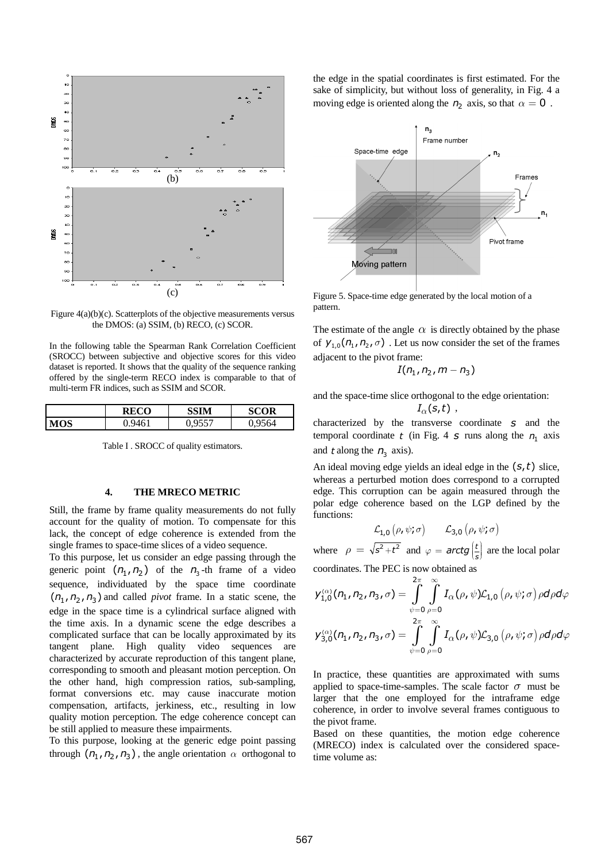

Figure 4(a)(b)(c). Scatterplots of the objective measurements versus the DMOS: (a) SSIM, (b) RECO, (c) SCOR.

In the following table the Spearman Rank Correlation Coefficient (SROCC) between subjective and objective scores for this video dataset is reported. It shows that the quality of the sequence ranking offered by the single-term RECO index is comparable to that of multi-term FR indices, such as SSIM and SCOR.

|     | RECO | SSIM | SCOR |
|-----|------|------|------|
| MOS |      |      | 9564 |

Table I . SROCC of quality estimators.

# **4. THE MRECO METRIC**

Still, the frame by frame quality measurements do not fully account for the quality of motion. To compensate for this lack, the concept of edge coherence is extended from the single frames to space-time slices of a video sequence.

To this purpose, let us consider an edge passing through the generic point  $(n_1, n_2)$  of the  $n_3$ -th frame of a video sequence, individuated by the space time coordinate  $(n_1, n_2, n_3)$  and called *pivot* frame. In a static scene, the edge in the space time is a cylindrical surface aligned with the time axis. In a dynamic scene the edge describes a complicated surface that can be locally approximated by its tangent plane. High quality video sequences are characterized by accurate reproduction of this tangent plane, corresponding to smooth and pleasant motion perception. On the other hand, high compression ratios, sub-sampling, format conversions etc. may cause inaccurate motion compensation, artifacts, jerkiness, etc., resulting in low quality motion perception. The edge coherence concept can be still applied to measure these impairments.

To this purpose, looking at the generic edge point passing through  $(n_1, n_2, n_3)$ , the angle orientation  $\alpha$  orthogonal to

the edge in the spatial coordinates is first estimated. For the sake of simplicity, but without loss of generality, in Fig. 4 a moving edge is oriented along the  $n_2$  axis, so that  $\alpha = 0$ .



Figure 5. Space-time edge generated by the local motion of a pattern.

The estimate of the angle  $\alpha$  is directly obtained by the phase of  $y_{1,0}$  ( $n_1$ ,  $n_2$ ,  $\sigma$ ). Let us now consider the set of the frames adjacent to the pivot frame:

$$
I(n_1, n_2, m-n_3)
$$

and the space-time slice orthogonal to the edge orientation:  $I_{\alpha}(s,t)$ ,

characterized by the transverse coordinate *s* and the temporal coordinate  $t$  (in Fig. 4  $s$  runs along the  $n_1$  axis and *t* along the  $n_3$  axis).

An ideal moving edge yields an ideal edge in the  $(s, t)$  slice, whereas a perturbed motion does correspond to a corrupted edge. This corruption can be again measured through the polar edge coherence based on the LGP defined by the functions:

$$
\mathcal{L}_{1,0}(\rho,\psi;\sigma) \qquad \mathcal{L}_{3,0}(\rho,\psi;\sigma)
$$

where  $\rho = \sqrt{s^2 + t^2}$  and  $\varphi = \text{arctg}\left(\frac{t}{s}\right)$  are the local polar

coordinates. The PEC is now obtained as

$$
y_{1,0}^{(\alpha)}(\eta_1, \eta_2, \eta_3, \sigma) = \int_{\psi=0}^{2\pi} \int_{\rho=0}^{\infty} I_{\alpha}(\rho, \psi) \mathcal{L}_{1,0}(\rho, \psi; \sigma) \rho d\rho d\varphi
$$
  

$$
y_{3,0}^{(\alpha)}(\eta_1, \eta_2, \eta_3, \sigma) = \int_{\psi=0}^{2\pi} \int_{\rho=0}^{\infty} I_{\alpha}(\rho, \psi) \mathcal{L}_{3,0}(\rho, \psi; \sigma) \rho d\rho d\varphi
$$

In practice, these quantities are approximated with sums applied to space-time-samples. The scale factor  $\sigma$  must be larger that the one employed for the intraframe edge coherence, in order to involve several frames contiguous to the pivot frame.

Based on these quantities, the motion edge coherence (MRECO) index is calculated over the considered spacetime volume as: